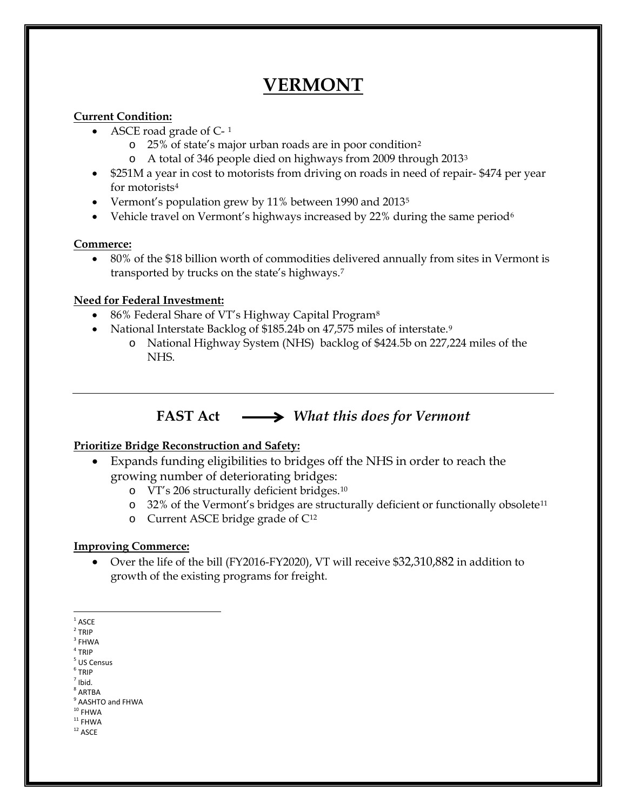# **VERMONT**

### **Current Condition:**

- ASCE road grade of  $C-1$  $C-1$ 
	- o 25% of state's major urban roads are in poor condition[2](#page-0-1)
	- o A total of 346 people died on highways from 2009 through 201[33](#page-0-2)
- \$251M a year in cost to motorists from driving on roads in need of repair-\$474 per year for motorists[4](#page-0-3)
- Vermont's population grew by 11% between 1990 and 2013<sup>[5](#page-0-4)</sup>
- Vehicle travel on Vermont's highways increased by 22% during the same period<sup>[6](#page-0-5)</sup>

#### **Commerce:**

• 80% of the \$18 billion worth of commodities delivered annually from sites in Vermont is transported by trucks on the state's highways.[7](#page-0-6)

### **Need for Federal Investment:**

- [8](#page-0-7)6% Federal Share of VT's Highway Capital Program<sup>8</sup>
- National Interstate Backlog of \$185.24b on 47,575 miles of interstate.<sup>[9](#page-0-8)</sup>
	- o National Highway System (NHS) backlog of \$424.5b on 227,224 miles of the NHS.

# **FAST Act** *What this does for Vermont*

# **Prioritize Bridge Reconstruction and Safety:**

- Expands funding eligibilities to bridges off the NHS in order to reach the growing number of deteriorating bridges:
	- o VT's 206 structurally deficient bridges.[10](#page-0-9)
	- o 32% of the Vermont's bridges are structurally deficient or functionally obsolete[11](#page-0-10)
	- o Current ASCE bridge grade of C[12](#page-0-11)

# **Improving Commerce:**

• Over the life of the bill (FY2016-FY2020), VT will receive \$32,310,882 in addition to growth of the existing programs for freight.

- <span id="page-0-1"></span> $2$  TRIP
- <span id="page-0-2"></span> $^3$  FHWA  $\,$  $4$  TRIP
- <span id="page-0-4"></span><span id="page-0-3"></span><sup>5</sup> US Census
- <span id="page-0-5"></span><sup>6</sup> TRIP
- <span id="page-0-6"></span> $<sup>7</sup>$  Ibid.</sup>
- $8$  ARTBA
- <span id="page-0-8"></span><span id="page-0-7"></span> $^{9}$  AASHTO and FHWA<br> $^{10}$  FHWA
- <span id="page-0-9"></span> $11$  FHWA
- <span id="page-0-11"></span><span id="page-0-10"></span> $^{\rm 12}$  ASCE

<span id="page-0-0"></span> $^{\rm 1}$  ASCE